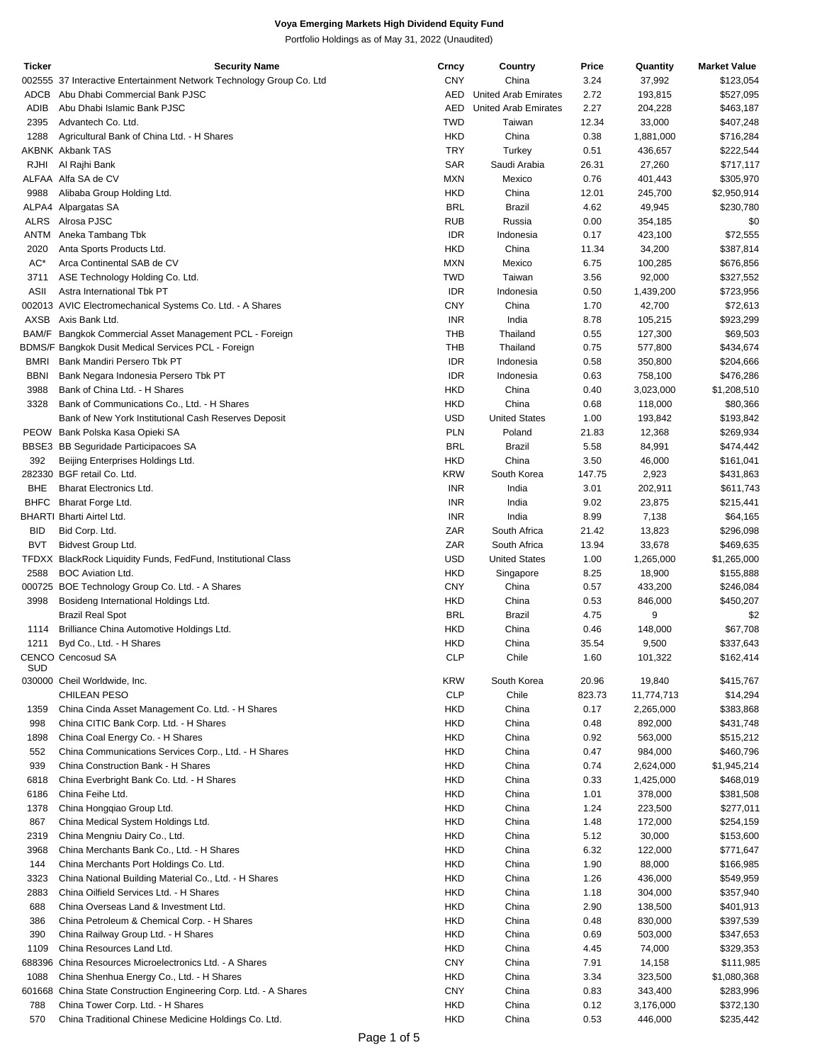| <b>Ticker</b> | <b>Security Name</b>                                                 | Crncy      | Country                     | Price  | Quantity   | <b>Market Value</b> |
|---------------|----------------------------------------------------------------------|------------|-----------------------------|--------|------------|---------------------|
|               | 002555 37 Interactive Entertainment Network Technology Group Co. Ltd | <b>CNY</b> | China                       | 3.24   | 37,992     | \$123,054           |
| ADCB          | Abu Dhabi Commercial Bank PJSC                                       | AED        | <b>United Arab Emirates</b> | 2.72   | 193,815    | \$527,095           |
| ADIB          | Abu Dhabi Islamic Bank PJSC                                          | AED        | <b>United Arab Emirates</b> | 2.27   | 204,228    | \$463,187           |
| 2395          | Advantech Co. Ltd.                                                   | <b>TWD</b> | Taiwan                      | 12.34  | 33,000     | \$407,248           |
| 1288          | Agricultural Bank of China Ltd. - H Shares                           | <b>HKD</b> | China                       | 0.38   | 1,881,000  | \$716,284           |
|               | <b>AKBNK Akbank TAS</b>                                              | <b>TRY</b> | Turkey                      | 0.51   | 436,657    | \$222,544           |
| RJHI          | Al Rajhi Bank                                                        | SAR        | Saudi Arabia                | 26.31  | 27,260     | \$717,117           |
|               | ALFAA Alfa SA de CV                                                  | <b>MXN</b> | Mexico                      | 0.76   | 401,443    | \$305,970           |
| 9988          | Alibaba Group Holding Ltd.                                           | <b>HKD</b> | China                       | 12.01  | 245,700    | \$2,950,914         |
|               | ALPA4 Alpargatas SA                                                  | <b>BRL</b> | <b>Brazil</b>               | 4.62   | 49,945     | \$230,780           |
|               | ALRS Alrosa PJSC                                                     | <b>RUB</b> | Russia                      | 0.00   | 354,185    | \$0                 |
|               | ANTM Aneka Tambang Tbk                                               | <b>IDR</b> | Indonesia                   | 0.17   | 423,100    | \$72,555            |
| 2020          | Anta Sports Products Ltd.                                            | <b>HKD</b> | China                       | 11.34  | 34,200     | \$387,814           |
| AC*           | Arca Continental SAB de CV                                           | <b>MXN</b> | Mexico                      | 6.75   | 100,285    | \$676,856           |
| 3711          | ASE Technology Holding Co. Ltd.                                      | <b>TWD</b> | Taiwan                      | 3.56   | 92,000     | \$327,552           |
| <b>ASII</b>   | Astra International Tbk PT                                           | <b>IDR</b> | Indonesia                   | 0.50   | 1,439,200  | \$723,956           |
|               | 002013 AVIC Electromechanical Systems Co. Ltd. - A Shares            | <b>CNY</b> | China                       | 1.70   | 42,700     | \$72,613            |
|               | AXSB Axis Bank Ltd.                                                  | INR        | India                       | 8.78   | 105,215    | \$923,299           |
|               | BAM/F Bangkok Commercial Asset Management PCL - Foreign              | THB        | Thailand                    | 0.55   | 127,300    | \$69,503            |
|               | BDMS/F Bangkok Dusit Medical Services PCL - Foreign                  | THB        | Thailand                    | 0.75   | 577,800    | \$434,674           |
| <b>BMRI</b>   | Bank Mandiri Persero Tbk PT                                          | <b>IDR</b> | Indonesia                   | 0.58   | 350,800    | \$204,666           |
| <b>BBNI</b>   | Bank Negara Indonesia Persero Tbk PT                                 | <b>IDR</b> | Indonesia                   | 0.63   | 758,100    | \$476,286           |
| 3988          | Bank of China Ltd. - H Shares                                        | <b>HKD</b> | China                       | 0.40   | 3,023,000  | \$1,208,510         |
| 3328          | Bank of Communications Co., Ltd. - H Shares                          | <b>HKD</b> | China                       | 0.68   | 118,000    | \$80,366            |
|               | Bank of New York Institutional Cash Reserves Deposit                 | <b>USD</b> | <b>United States</b>        | 1.00   | 193,842    | \$193,842           |
|               | PEOW Bank Polska Kasa Opieki SA                                      | <b>PLN</b> | Poland                      | 21.83  | 12,368     | \$269,934           |
|               | BBSE3 BB Seguridade Participacoes SA                                 | <b>BRL</b> | <b>Brazil</b>               | 5.58   | 84,991     | \$474,442           |
| 392           | Beijing Enterprises Holdings Ltd.                                    | <b>HKD</b> | China                       | 3.50   | 46,000     | \$161,041           |
|               | 282330 BGF retail Co. Ltd.                                           | <b>KRW</b> | South Korea                 | 147.75 | 2,923      | \$431,863           |
| <b>BHE</b>    | <b>Bharat Electronics Ltd.</b>                                       | INR        | India                       | 3.01   | 202,911    | \$611,743           |
| <b>BHFC</b>   | Bharat Forge Ltd.                                                    | INR        | India                       | 9.02   | 23,875     | \$215,441           |
|               | <b>BHARTI Bharti Airtel Ltd.</b>                                     | <b>INR</b> | India                       | 8.99   | 7,138      | \$64,165            |
| <b>BID</b>    | Bid Corp. Ltd.                                                       | ZAR        | South Africa                | 21.42  | 13,823     | \$296,098           |
| <b>BVT</b>    | Bidvest Group Ltd.                                                   | ZAR        | South Africa                | 13.94  | 33,678     | \$469,635           |
|               | TFDXX BlackRock Liquidity Funds, FedFund, Institutional Class        | <b>USD</b> | <b>United States</b>        | 1.00   | 1,265,000  | \$1,265,000         |
| 2588          | <b>BOC Aviation Ltd.</b>                                             | <b>HKD</b> | Singapore                   | 8.25   | 18,900     | \$155,888           |
|               | 000725 BOE Technology Group Co. Ltd. - A Shares                      | <b>CNY</b> | China                       | 0.57   | 433,200    | \$246,084           |
| 3998          | Bosideng International Holdings Ltd.                                 | <b>HKD</b> | China                       | 0.53   | 846,000    | \$450,207           |
|               | <b>Brazil Real Spot</b>                                              | <b>BRL</b> | Brazil                      | 4.75   | 9          | \$2                 |
| 1114          | Brilliance China Automotive Holdings Ltd.                            | <b>HKD</b> | China                       | 0.46   | 148,000    | \$67,708            |
| 1211          | Byd Co., Ltd. - H Shares                                             | <b>HKD</b> | China                       | 35.54  | 9,500      | \$337,643           |
|               | <b>CENCO Cencosud SA</b>                                             | <b>CLP</b> | Chile                       | 1.60   | 101,322    | \$162,414           |
| <b>SUD</b>    |                                                                      |            |                             |        |            |                     |
|               | 030000 Cheil Worldwide, Inc.                                         | <b>KRW</b> | South Korea                 | 20.96  | 19,840     | \$415,767           |
|               | <b>CHILEAN PESO</b>                                                  | <b>CLP</b> | Chile                       | 823.73 | 11,774,713 | \$14,294            |
| 1359          | China Cinda Asset Management Co. Ltd. - H Shares                     | <b>HKD</b> | China                       | 0.17   | 2,265,000  | \$383,868           |
| 998           | China CITIC Bank Corp. Ltd. - H Shares                               | <b>HKD</b> | China                       | 0.48   | 892,000    | \$431,748           |
| 1898          | China Coal Energy Co. - H Shares                                     | <b>HKD</b> | China                       | 0.92   | 563,000    | \$515,212           |
| 552           | China Communications Services Corp., Ltd. - H Shares                 | <b>HKD</b> | China                       | 0.47   | 984,000    | \$460,796           |
| 939           | China Construction Bank - H Shares                                   | <b>HKD</b> | China                       | 0.74   | 2,624,000  | \$1,945,214         |
| 6818          | China Everbright Bank Co. Ltd. - H Shares                            | <b>HKD</b> | China                       | 0.33   | 1,425,000  | \$468,019           |
| 6186          | China Feihe Ltd.                                                     | <b>HKD</b> | China                       | 1.01   | 378,000    | \$381,508           |
| 1378          | China Hongqiao Group Ltd.                                            | <b>HKD</b> | China                       | 1.24   | 223,500    | \$277,011           |
| 867           | China Medical System Holdings Ltd.                                   | <b>HKD</b> | China                       | 1.48   | 172,000    | \$254,159           |
| 2319          | China Mengniu Dairy Co., Ltd.                                        | <b>HKD</b> | China                       | 5.12   | 30,000     | \$153,600           |
| 3968          | China Merchants Bank Co., Ltd. - H Shares                            | <b>HKD</b> | China                       | 6.32   | 122,000    | \$771,647           |
| 144           | China Merchants Port Holdings Co. Ltd.                               | <b>HKD</b> | China                       | 1.90   | 88,000     | \$166,985           |
| 3323          | China National Building Material Co., Ltd. - H Shares                | <b>HKD</b> | China                       | 1.26   | 436,000    | \$549,959           |
| 2883          | China Oilfield Services Ltd. - H Shares                              | <b>HKD</b> | China                       | 1.18   | 304,000    | \$357,940           |
| 688           | China Overseas Land & Investment Ltd.                                | <b>HKD</b> | China                       | 2.90   | 138,500    | \$401,913           |
| 386           | China Petroleum & Chemical Corp. - H Shares                          | <b>HKD</b> | China                       | 0.48   | 830,000    | \$397,539           |
| 390           | China Railway Group Ltd. - H Shares                                  | <b>HKD</b> | China                       | 0.69   | 503,000    | \$347,653           |
| 1109          | China Resources Land Ltd.                                            | <b>HKD</b> | China                       | 4.45   | 74,000     | \$329,353           |
| 688396        | China Resources Microelectronics Ltd. - A Shares                     | <b>CNY</b> | China                       | 7.91   | 14,158     | \$111,985           |
| 1088          | China Shenhua Energy Co., Ltd. - H Shares                            | <b>HKD</b> | China                       | 3.34   | 323,500    | \$1,080,368         |
|               | 601668 China State Construction Engineering Corp. Ltd. - A Shares    | <b>CNY</b> | China                       | 0.83   | 343,400    | \$283,996           |
| 788           | China Tower Corp. Ltd. - H Shares                                    | <b>HKD</b> | China                       | 0.12   | 3,176,000  | \$372,130           |
| 570           | China Traditional Chinese Medicine Holdings Co. Ltd.                 | <b>HKD</b> | China                       | 0.53   | 446,000    | \$235,442           |
|               |                                                                      |            |                             |        |            |                     |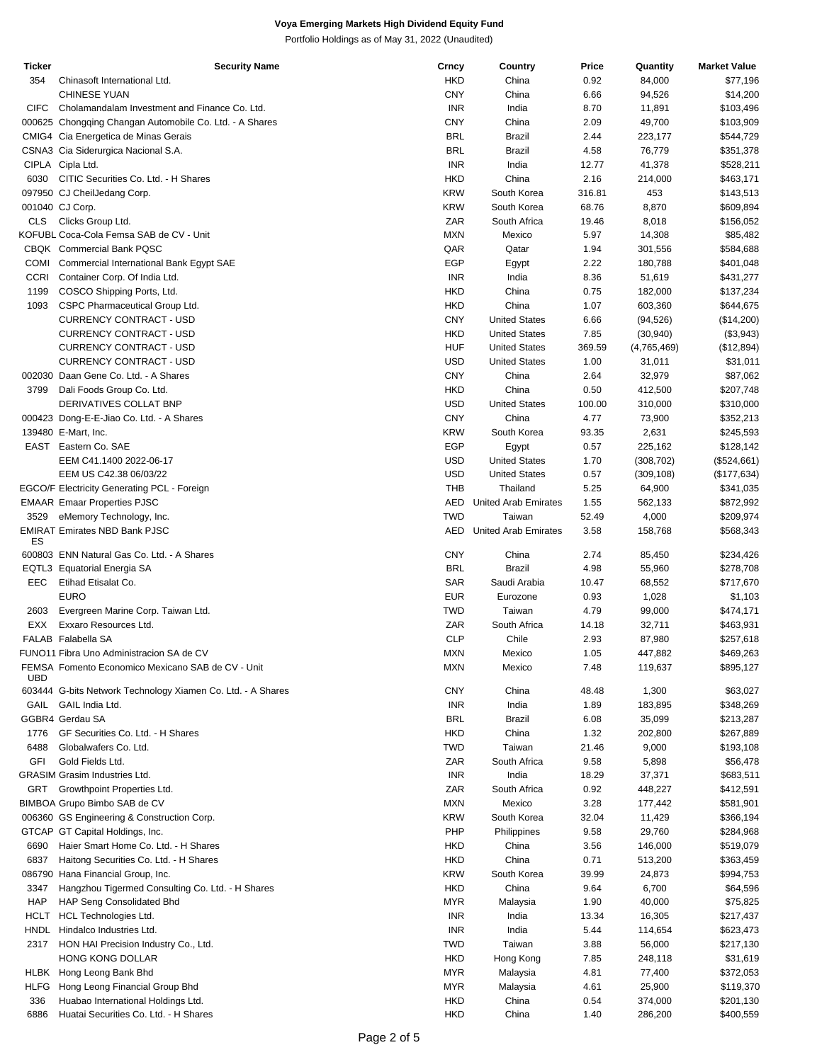| Ticker       | <b>Security Name</b>                                        | Crncy      | Country                     | Price  | Quantity    | <b>Market Value</b> |
|--------------|-------------------------------------------------------------|------------|-----------------------------|--------|-------------|---------------------|
| 354          | Chinasoft International Ltd.                                | <b>HKD</b> | China                       | 0.92   | 84,000      | \$77,196            |
|              | <b>CHINESE YUAN</b>                                         | <b>CNY</b> | China                       | 6.66   | 94,526      | \$14,200            |
|              |                                                             |            |                             |        |             |                     |
| <b>CIFC</b>  | Cholamandalam Investment and Finance Co. Ltd.               | <b>INR</b> | India                       | 8.70   | 11,891      | \$103,496           |
|              | 000625 Chongqing Changan Automobile Co. Ltd. - A Shares     | <b>CNY</b> | China                       | 2.09   | 49,700      | \$103,909           |
|              | CMIG4 Cia Energetica de Minas Gerais                        | <b>BRL</b> | Brazil                      | 2.44   | 223,177     | \$544,729           |
|              | CSNA3 Cia Siderurgica Nacional S.A.                         | <b>BRL</b> | <b>Brazil</b>               | 4.58   | 76,779      | \$351,378           |
|              | CIPLA Cipla Ltd.                                            | <b>INR</b> | India                       | 12.77  | 41,378      | \$528,211           |
|              |                                                             |            |                             |        |             |                     |
| 6030         | CITIC Securities Co. Ltd. - H Shares                        | <b>HKD</b> | China                       | 2.16   | 214,000     | \$463,171           |
|              | 097950 CJ CheilJedang Corp.                                 | <b>KRW</b> | South Korea                 | 316.81 | 453         | \$143,513           |
|              | 001040 CJ Corp.                                             | <b>KRW</b> | South Korea                 | 68.76  | 8,870       | \$609,894           |
| <b>CLS</b>   | Clicks Group Ltd.                                           | ZAR        | South Africa                | 19.46  | 8,018       | \$156,052           |
|              |                                                             |            |                             |        |             |                     |
|              | KOFUBL Coca-Cola Femsa SAB de CV - Unit                     | <b>MXN</b> | Mexico                      | 5.97   | 14,308      | \$85,482            |
|              | CBQK Commercial Bank PQSC                                   | QAR        | Qatar                       | 1.94   | 301,556     | \$584,688           |
| COMI         | Commercial International Bank Egypt SAE                     | <b>EGP</b> | Egypt                       | 2.22   | 180,788     | \$401,048           |
| <b>CCRI</b>  | Container Corp. Of India Ltd.                               | <b>INR</b> | India                       | 8.36   | 51,619      | \$431,277           |
| 1199         | COSCO Shipping Ports, Ltd.                                  | <b>HKD</b> | China                       | 0.75   | 182,000     | \$137,234           |
|              |                                                             |            |                             |        |             |                     |
| 1093         | CSPC Pharmaceutical Group Ltd.                              | <b>HKD</b> | China                       | 1.07   | 603,360     | \$644,675           |
|              | <b>CURRENCY CONTRACT - USD</b>                              | <b>CNY</b> | <b>United States</b>        | 6.66   | (94, 526)   | (\$14,200)          |
|              | <b>CURRENCY CONTRACT - USD</b>                              | <b>HKD</b> | <b>United States</b>        | 7.85   | (30, 940)   | (\$3,943)           |
|              | <b>CURRENCY CONTRACT - USD</b>                              | <b>HUF</b> | <b>United States</b>        | 369.59 | (4,765,469) | (\$12,894)          |
|              |                                                             |            |                             |        |             |                     |
|              | <b>CURRENCY CONTRACT - USD</b>                              | <b>USD</b> | <b>United States</b>        | 1.00   | 31,011      | \$31,011            |
|              | 002030 Daan Gene Co. Ltd. - A Shares                        | <b>CNY</b> | China                       | 2.64   | 32,979      | \$87,062            |
| 3799         | Dali Foods Group Co. Ltd.                                   | <b>HKD</b> | China                       | 0.50   | 412,500     | \$207,748           |
|              | DERIVATIVES COLLAT BNP                                      | <b>USD</b> | <b>United States</b>        | 100.00 | 310,000     | \$310,000           |
|              |                                                             | <b>CNY</b> | China                       | 4.77   |             |                     |
|              | 000423 Dong-E-E-Jiao Co. Ltd. - A Shares                    |            |                             |        | 73,900      | \$352,213           |
|              | 139480 E-Mart, Inc.                                         | <b>KRW</b> | South Korea                 | 93.35  | 2,631       | \$245,593           |
|              | EAST Eastern Co. SAE                                        | <b>EGP</b> | Egypt                       | 0.57   | 225,162     | \$128,142           |
|              | EEM C41.1400 2022-06-17                                     | <b>USD</b> | <b>United States</b>        | 1.70   | (308, 702)  | (\$524,661)         |
|              | EEM US C42.38 06/03/22                                      | <b>USD</b> | <b>United States</b>        | 0.57   | (309, 108)  | (\$177,634)         |
|              |                                                             |            |                             |        |             |                     |
|              | EGCO/F Electricity Generating PCL - Foreign                 | <b>THB</b> | Thailand                    | 5.25   | 64,900      | \$341,035           |
|              | <b>EMAAR Emaar Properties PJSC</b>                          | <b>AED</b> | <b>United Arab Emirates</b> | 1.55   | 562,133     | \$872,992           |
| 3529         | eMemory Technology, Inc.                                    | <b>TWD</b> | Taiwan                      | 52.49  | 4,000       | \$209,974           |
|              | <b>EMIRAT Emirates NBD Bank PJSC</b>                        | <b>AED</b> | <b>United Arab Emirates</b> | 3.58   | 158,768     | \$568,343           |
| ES           |                                                             |            |                             |        |             |                     |
|              | 600803 ENN Natural Gas Co. Ltd. - A Shares                  | <b>CNY</b> | China                       | 2.74   | 85,450      | \$234,426           |
|              |                                                             |            |                             |        |             |                     |
|              | EQTL3 Equatorial Energia SA                                 | <b>BRL</b> | <b>Brazil</b>               | 4.98   | 55,960      | \$278,708           |
| EEC          | Etihad Etisalat Co.                                         | <b>SAR</b> | Saudi Arabia                | 10.47  | 68,552      | \$717,670           |
|              | <b>EURO</b>                                                 | <b>EUR</b> | Eurozone                    | 0.93   | 1,028       | \$1,103             |
| 2603         | Evergreen Marine Corp. Taiwan Ltd.                          | <b>TWD</b> | Taiwan                      | 4.79   | 99,000      | \$474,171           |
|              |                                                             | ZAR        |                             |        |             |                     |
| EXX          | Exxaro Resources Ltd.                                       |            | South Africa                | 14.18  | 32,711      | \$463,931           |
|              | <b>FALAB</b> Falabella SA                                   | <b>CLP</b> | Chile                       | 2.93   | 87,980      | \$257,618           |
|              | FUNO11 Fibra Uno Administracion SA de CV                    | <b>MXN</b> | Mexico                      | 1.05   | 447,882     | \$469,263           |
|              | FEMSA Fomento Economico Mexicano SAB de CV - Unit           | MXN        | Mexico                      | 7.48   | 119,637     | \$895,127           |
| UBD          |                                                             |            |                             |        |             |                     |
|              | 603444 G-bits Network Technology Xiamen Co. Ltd. - A Shares | <b>CNY</b> | China                       | 48.48  | 1,300       | \$63,027            |
|              |                                                             |            |                             |        |             |                     |
| GAIL         | GAIL India Ltd.                                             | <b>INR</b> | India                       | 1.89   | 183,895     | \$348,269           |
|              | GGBR4 Gerdau SA                                             | <b>BRL</b> | <b>Brazil</b>               | 6.08   | 35,099      | \$213,287           |
| 1776         | GF Securities Co. Ltd. - H Shares                           | <b>HKD</b> | China                       | 1.32   | 202,800     | \$267,889           |
| 6488         | Globalwafers Co. Ltd.                                       | TWD        | Taiwan                      | 21.46  | 9,000       | \$193,108           |
| GFI          | Gold Fields Ltd.                                            | ZAR        | South Africa                | 9.58   | 5,898       | \$56,478            |
|              |                                                             |            |                             |        |             |                     |
|              | <b>GRASIM Grasim Industries Ltd.</b>                        | <b>INR</b> | India                       | 18.29  | 37,371      | \$683,511           |
| GRT          | Growthpoint Properties Ltd.                                 | ZAR        | South Africa                | 0.92   | 448,227     | \$412,591           |
|              | BIMBOA Grupo Bimbo SAB de CV                                | <b>MXN</b> | Mexico                      | 3.28   | 177,442     | \$581,901           |
|              | 006360 GS Engineering & Construction Corp.                  | <b>KRW</b> | South Korea                 | 32.04  | 11,429      | \$366,194           |
|              |                                                             |            |                             |        |             |                     |
| <b>GTCAP</b> | GT Capital Holdings, Inc.                                   | PHP        | Philippines                 | 9.58   | 29,760      | \$284,968           |
| 6690         | Haier Smart Home Co. Ltd. - H Shares                        | <b>HKD</b> | China                       | 3.56   | 146,000     | \$519,079           |
| 6837         | Haitong Securities Co. Ltd. - H Shares                      | <b>HKD</b> | China                       | 0.71   | 513,200     | \$363,459           |
|              | 086790 Hana Financial Group, Inc.                           | <b>KRW</b> | South Korea                 | 39.99  | 24,873      | \$994,753           |
|              |                                                             |            |                             |        |             |                     |
| 3347         | Hangzhou Tigermed Consulting Co. Ltd. - H Shares            | <b>HKD</b> | China                       | 9.64   | 6,700       | \$64,596            |
| <b>HAP</b>   | HAP Seng Consolidated Bhd                                   | MYR        | Malaysia                    | 1.90   | 40,000      | \$75,825            |
| <b>HCLT</b>  | HCL Technologies Ltd.                                       | <b>INR</b> | India                       | 13.34  | 16,305      | \$217,437           |
| <b>HNDL</b>  | Hindalco Industries Ltd.                                    | <b>INR</b> | India                       | 5.44   | 114,654     | \$623,473           |
| 2317         | HON HAI Precision Industry Co., Ltd.                        | <b>TWD</b> | Taiwan                      | 3.88   | 56,000      | \$217,130           |
|              |                                                             |            |                             |        |             |                     |
|              | HONG KONG DOLLAR                                            | <b>HKD</b> | Hong Kong                   | 7.85   | 248,118     | \$31,619            |
| HLBK         | Hong Leong Bank Bhd                                         | <b>MYR</b> | Malaysia                    | 4.81   | 77,400      | \$372,053           |
| <b>HLFG</b>  | Hong Leong Financial Group Bhd                              | <b>MYR</b> | Malaysia                    | 4.61   | 25,900      | \$119,370           |
| 336          | Huabao International Holdings Ltd.                          | <b>HKD</b> | China                       | 0.54   | 374,000     | \$201,130           |
|              |                                                             |            |                             |        |             |                     |
| 6886         | Huatai Securities Co. Ltd. - H Shares                       | <b>HKD</b> | China                       | 1.40   | 286,200     | \$400,559           |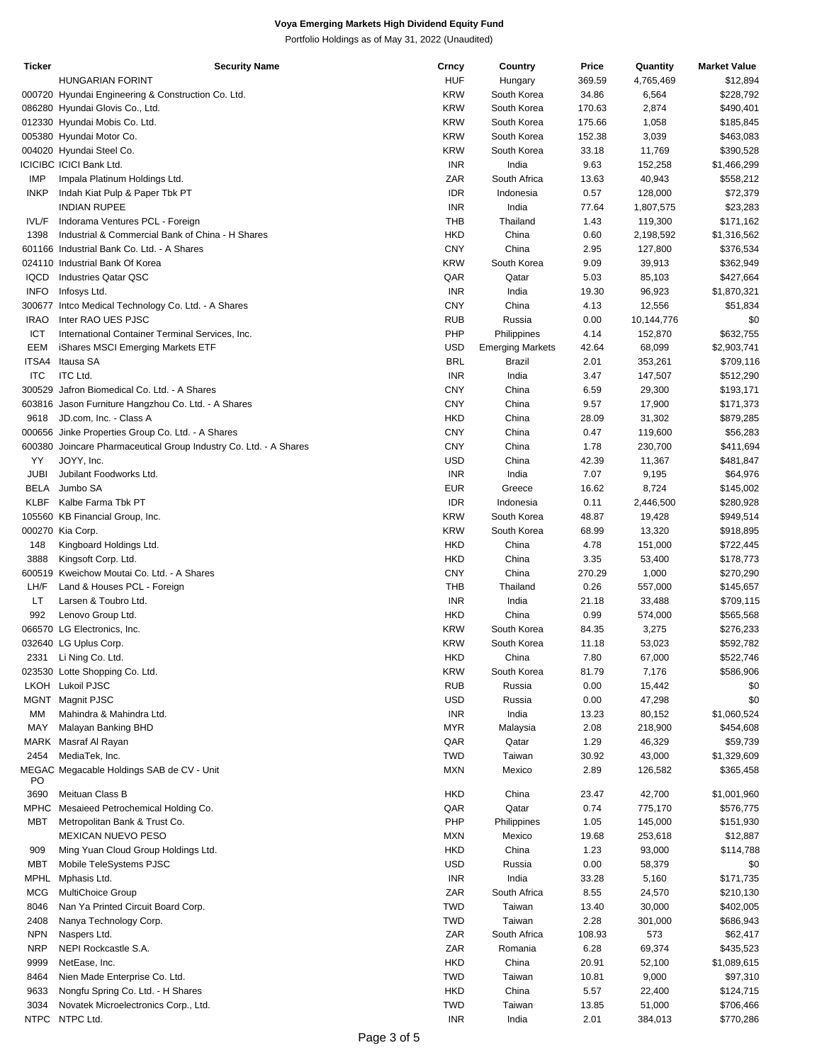| <b>HUF</b><br><b>HUNGARIAN FORINT</b><br>369.59<br>Hungary<br><b>KRW</b><br>000720 Hyundai Engineering & Construction Co. Ltd.<br>South Korea<br>34.86<br><b>KRW</b><br>086280 Hyundai Glovis Co., Ltd.<br>South Korea<br>170.63<br><b>KRW</b><br>012330 Hyundai Mobis Co. Ltd.<br>South Korea<br>175.66<br><b>KRW</b><br>005380 Hyundai Motor Co.<br>South Korea<br>152.38<br><b>KRW</b><br>004020 Hyundai Steel Co.<br>South Korea<br>33.18<br><b>ICICIBC ICICI Bank Ltd.</b><br><b>INR</b><br>India<br>9.63<br>ZAR<br>IMP<br>Impala Platinum Holdings Ltd.<br>South Africa<br>13.63<br><b>INKP</b><br><b>IDR</b><br>Indah Kiat Pulp & Paper Tbk PT<br>Indonesia<br>0.57<br><b>INR</b><br><b>INDIAN RUPEE</b><br>India<br>77.64<br><b>THB</b><br>IVL/F<br>Indorama Ventures PCL - Foreign<br>Thailand<br>1.43<br><b>HKD</b><br>1398<br>Industrial & Commercial Bank of China - H Shares<br>China<br>0.60<br><b>CNY</b><br>601166 Industrial Bank Co. Ltd. - A Shares<br>China<br>2.95<br><b>KRW</b><br>South Korea<br>9.09<br>024110 Industrial Bank Of Korea<br>QAR<br><b>IQCD</b><br><b>Industries Qatar QSC</b><br>Qatar<br>5.03<br><b>INFO</b><br><b>INR</b><br>Infosys Ltd.<br>India<br>19.30<br><b>CNY</b><br>300677<br>China<br>4.13<br>Intco Medical Technology Co. Ltd. - A Shares<br><b>RUB</b><br><b>IRAO</b><br>Inter RAO UES PJSC<br>Russia<br>0.00<br>PHP<br>ICT<br>Philippines<br>4.14<br>International Container Terminal Services, Inc.<br><b>USD</b><br>EEM<br>iShares MSCI Emerging Markets ETF<br><b>Emerging Markets</b><br>42.64<br>ITSA4<br><b>BRL</b><br>Itausa SA<br>2.01<br>Brazil<br><b>ITC</b><br><b>ITC Ltd.</b><br><b>INR</b><br>India<br>3.47<br>300529 Jafron Biomedical Co. Ltd. - A Shares<br><b>CNY</b><br>China<br>6.59<br><b>CNY</b><br>603816 Jason Furniture Hangzhou Co. Ltd. - A Shares<br>China<br>9.57<br><b>HKD</b><br>9618<br>JD.com, Inc. - Class A<br>China<br>28.09<br><b>CNY</b><br>000656 Jinke Properties Group Co. Ltd. - A Shares<br>China<br>0.47<br><b>CNY</b><br>600380 Joincare Pharmaceutical Group Industry Co. Ltd. - A Shares<br>China<br>1.78<br>YY<br><b>USD</b><br>JOYY, Inc.<br>China<br>42.39<br><b>JUBI</b><br><b>INR</b><br>India<br>7.07<br>Jubilant Foodworks Ltd.<br><b>EUR</b><br><b>BELA</b><br>Jumbo SA<br>Greece<br>16.62<br><b>KLBF</b><br>Kalbe Farma Tbk PT<br><b>IDR</b><br>Indonesia<br>0.11<br>South Korea<br>105560 KB Financial Group, Inc.<br><b>KRW</b><br>48.87<br><b>KRW</b><br>000270 Kia Corp.<br>South Korea<br>68.99<br>148<br><b>HKD</b><br>China<br>4.78<br>Kingboard Holdings Ltd.<br><b>HKD</b><br>3888<br>Kingsoft Corp. Ltd.<br>China<br>3.35<br><b>CNY</b><br>600519 Kweichow Moutai Co. Ltd. - A Shares<br>China<br>270.29<br>${\sf LH/F}$<br><b>THB</b><br>Land & Houses PCL - Foreign<br>Thailand<br>0.26<br>LT.<br><b>INR</b><br>India<br>Larsen & Toubro Ltd.<br>21.18<br>992<br><b>HKD</b><br>Lenovo Group Ltd.<br>China<br>0.99<br>South Korea<br>066570 LG Electronics, Inc.<br><b>KRW</b><br>84.35<br><b>KRW</b><br>032640 LG Uplus Corp.<br>South Korea<br>11.18<br><b>HKD</b><br>7.80<br>2331<br>Li Ning Co. Ltd.<br>China<br><b>KRW</b><br>023530 Lotte Shopping Co. Ltd.<br>South Korea<br>81.79<br>LKOH Lukoil PJSC<br><b>RUB</b><br>0.00<br>Russia<br><b>USD</b><br><b>MGNT</b><br>Magnit PJSC<br>0.00<br>Russia<br><b>INR</b><br>India<br>MМ<br>Mahindra & Mahindra Ltd.<br>13.23<br><b>MYR</b><br>MAY<br>Malaysia<br>2.08<br>Malayan Banking BHD<br>QAR<br>MARK Masraf Al Rayan<br>Qatar<br>1.29<br>2454<br><b>TWD</b><br>MediaTek, Inc.<br>Taiwan<br>30.92<br><b>MXN</b><br>2.89<br>MEGAC Megacable Holdings SAB de CV - Unit<br>Mexico<br>PO<br><b>HKD</b><br>3690<br>Meituan Class B<br>China<br>23.47<br>QAR<br><b>MPHC</b><br>Mesaieed Petrochemical Holding Co.<br>Qatar<br>0.74<br>PHP<br>MBT<br>Metropolitan Bank & Trust Co.<br>Philippines<br>1.05<br><b>MEXICAN NUEVO PESO</b><br><b>MXN</b><br>Mexico<br>19.68<br><b>HKD</b><br>China<br>909<br>Ming Yuan Cloud Group Holdings Ltd.<br>1.23<br><b>MBT</b><br><b>USD</b><br>0.00 |
|------------------------------------------------------------------------------------------------------------------------------------------------------------------------------------------------------------------------------------------------------------------------------------------------------------------------------------------------------------------------------------------------------------------------------------------------------------------------------------------------------------------------------------------------------------------------------------------------------------------------------------------------------------------------------------------------------------------------------------------------------------------------------------------------------------------------------------------------------------------------------------------------------------------------------------------------------------------------------------------------------------------------------------------------------------------------------------------------------------------------------------------------------------------------------------------------------------------------------------------------------------------------------------------------------------------------------------------------------------------------------------------------------------------------------------------------------------------------------------------------------------------------------------------------------------------------------------------------------------------------------------------------------------------------------------------------------------------------------------------------------------------------------------------------------------------------------------------------------------------------------------------------------------------------------------------------------------------------------------------------------------------------------------------------------------------------------------------------------------------------------------------------------------------------------------------------------------------------------------------------------------------------------------------------------------------------------------------------------------------------------------------------------------------------------------------------------------------------------------------------------------------------------------------------------------------------------------------------------------------------------------------------------------------------------------------------------------------------------------------------------------------------------------------------------------------------------------------------------------------------------------------------------------------------------------------------------------------------------------------------------------------------------------------------------------------------------------------------------------------------------------------------------------------------------------------------------------------------------------------------------------------------------------------------------------------------------------------------------------------------------------------------------------------------------------------------------------------------------------------------------------------------------------------------------------------------------------------------------------------------------------------------------------------------------------------------------------------------------------------------------------------------------------------------------------------------------------------------------------------------------------------------------------------------------------------------------------------------------------------------------------------------------------------------------------------|
|                                                                                                                                                                                                                                                                                                                                                                                                                                                                                                                                                                                                                                                                                                                                                                                                                                                                                                                                                                                                                                                                                                                                                                                                                                                                                                                                                                                                                                                                                                                                                                                                                                                                                                                                                                                                                                                                                                                                                                                                                                                                                                                                                                                                                                                                                                                                                                                                                                                                                                                                                                                                                                                                                                                                                                                                                                                                                                                                                                                                                                                                                                                                                                                                                                                                                                                                                                                                                                                                                                                                                                                                                                                                                                                                                                                                                                                                                                                                                                                                                                                                  |
|                                                                                                                                                                                                                                                                                                                                                                                                                                                                                                                                                                                                                                                                                                                                                                                                                                                                                                                                                                                                                                                                                                                                                                                                                                                                                                                                                                                                                                                                                                                                                                                                                                                                                                                                                                                                                                                                                                                                                                                                                                                                                                                                                                                                                                                                                                                                                                                                                                                                                                                                                                                                                                                                                                                                                                                                                                                                                                                                                                                                                                                                                                                                                                                                                                                                                                                                                                                                                                                                                                                                                                                                                                                                                                                                                                                                                                                                                                                                                                                                                                                                  |
|                                                                                                                                                                                                                                                                                                                                                                                                                                                                                                                                                                                                                                                                                                                                                                                                                                                                                                                                                                                                                                                                                                                                                                                                                                                                                                                                                                                                                                                                                                                                                                                                                                                                                                                                                                                                                                                                                                                                                                                                                                                                                                                                                                                                                                                                                                                                                                                                                                                                                                                                                                                                                                                                                                                                                                                                                                                                                                                                                                                                                                                                                                                                                                                                                                                                                                                                                                                                                                                                                                                                                                                                                                                                                                                                                                                                                                                                                                                                                                                                                                                                  |
|                                                                                                                                                                                                                                                                                                                                                                                                                                                                                                                                                                                                                                                                                                                                                                                                                                                                                                                                                                                                                                                                                                                                                                                                                                                                                                                                                                                                                                                                                                                                                                                                                                                                                                                                                                                                                                                                                                                                                                                                                                                                                                                                                                                                                                                                                                                                                                                                                                                                                                                                                                                                                                                                                                                                                                                                                                                                                                                                                                                                                                                                                                                                                                                                                                                                                                                                                                                                                                                                                                                                                                                                                                                                                                                                                                                                                                                                                                                                                                                                                                                                  |
|                                                                                                                                                                                                                                                                                                                                                                                                                                                                                                                                                                                                                                                                                                                                                                                                                                                                                                                                                                                                                                                                                                                                                                                                                                                                                                                                                                                                                                                                                                                                                                                                                                                                                                                                                                                                                                                                                                                                                                                                                                                                                                                                                                                                                                                                                                                                                                                                                                                                                                                                                                                                                                                                                                                                                                                                                                                                                                                                                                                                                                                                                                                                                                                                                                                                                                                                                                                                                                                                                                                                                                                                                                                                                                                                                                                                                                                                                                                                                                                                                                                                  |
|                                                                                                                                                                                                                                                                                                                                                                                                                                                                                                                                                                                                                                                                                                                                                                                                                                                                                                                                                                                                                                                                                                                                                                                                                                                                                                                                                                                                                                                                                                                                                                                                                                                                                                                                                                                                                                                                                                                                                                                                                                                                                                                                                                                                                                                                                                                                                                                                                                                                                                                                                                                                                                                                                                                                                                                                                                                                                                                                                                                                                                                                                                                                                                                                                                                                                                                                                                                                                                                                                                                                                                                                                                                                                                                                                                                                                                                                                                                                                                                                                                                                  |
|                                                                                                                                                                                                                                                                                                                                                                                                                                                                                                                                                                                                                                                                                                                                                                                                                                                                                                                                                                                                                                                                                                                                                                                                                                                                                                                                                                                                                                                                                                                                                                                                                                                                                                                                                                                                                                                                                                                                                                                                                                                                                                                                                                                                                                                                                                                                                                                                                                                                                                                                                                                                                                                                                                                                                                                                                                                                                                                                                                                                                                                                                                                                                                                                                                                                                                                                                                                                                                                                                                                                                                                                                                                                                                                                                                                                                                                                                                                                                                                                                                                                  |
|                                                                                                                                                                                                                                                                                                                                                                                                                                                                                                                                                                                                                                                                                                                                                                                                                                                                                                                                                                                                                                                                                                                                                                                                                                                                                                                                                                                                                                                                                                                                                                                                                                                                                                                                                                                                                                                                                                                                                                                                                                                                                                                                                                                                                                                                                                                                                                                                                                                                                                                                                                                                                                                                                                                                                                                                                                                                                                                                                                                                                                                                                                                                                                                                                                                                                                                                                                                                                                                                                                                                                                                                                                                                                                                                                                                                                                                                                                                                                                                                                                                                  |
|                                                                                                                                                                                                                                                                                                                                                                                                                                                                                                                                                                                                                                                                                                                                                                                                                                                                                                                                                                                                                                                                                                                                                                                                                                                                                                                                                                                                                                                                                                                                                                                                                                                                                                                                                                                                                                                                                                                                                                                                                                                                                                                                                                                                                                                                                                                                                                                                                                                                                                                                                                                                                                                                                                                                                                                                                                                                                                                                                                                                                                                                                                                                                                                                                                                                                                                                                                                                                                                                                                                                                                                                                                                                                                                                                                                                                                                                                                                                                                                                                                                                  |
|                                                                                                                                                                                                                                                                                                                                                                                                                                                                                                                                                                                                                                                                                                                                                                                                                                                                                                                                                                                                                                                                                                                                                                                                                                                                                                                                                                                                                                                                                                                                                                                                                                                                                                                                                                                                                                                                                                                                                                                                                                                                                                                                                                                                                                                                                                                                                                                                                                                                                                                                                                                                                                                                                                                                                                                                                                                                                                                                                                                                                                                                                                                                                                                                                                                                                                                                                                                                                                                                                                                                                                                                                                                                                                                                                                                                                                                                                                                                                                                                                                                                  |
|                                                                                                                                                                                                                                                                                                                                                                                                                                                                                                                                                                                                                                                                                                                                                                                                                                                                                                                                                                                                                                                                                                                                                                                                                                                                                                                                                                                                                                                                                                                                                                                                                                                                                                                                                                                                                                                                                                                                                                                                                                                                                                                                                                                                                                                                                                                                                                                                                                                                                                                                                                                                                                                                                                                                                                                                                                                                                                                                                                                                                                                                                                                                                                                                                                                                                                                                                                                                                                                                                                                                                                                                                                                                                                                                                                                                                                                                                                                                                                                                                                                                  |
|                                                                                                                                                                                                                                                                                                                                                                                                                                                                                                                                                                                                                                                                                                                                                                                                                                                                                                                                                                                                                                                                                                                                                                                                                                                                                                                                                                                                                                                                                                                                                                                                                                                                                                                                                                                                                                                                                                                                                                                                                                                                                                                                                                                                                                                                                                                                                                                                                                                                                                                                                                                                                                                                                                                                                                                                                                                                                                                                                                                                                                                                                                                                                                                                                                                                                                                                                                                                                                                                                                                                                                                                                                                                                                                                                                                                                                                                                                                                                                                                                                                                  |
|                                                                                                                                                                                                                                                                                                                                                                                                                                                                                                                                                                                                                                                                                                                                                                                                                                                                                                                                                                                                                                                                                                                                                                                                                                                                                                                                                                                                                                                                                                                                                                                                                                                                                                                                                                                                                                                                                                                                                                                                                                                                                                                                                                                                                                                                                                                                                                                                                                                                                                                                                                                                                                                                                                                                                                                                                                                                                                                                                                                                                                                                                                                                                                                                                                                                                                                                                                                                                                                                                                                                                                                                                                                                                                                                                                                                                                                                                                                                                                                                                                                                  |
|                                                                                                                                                                                                                                                                                                                                                                                                                                                                                                                                                                                                                                                                                                                                                                                                                                                                                                                                                                                                                                                                                                                                                                                                                                                                                                                                                                                                                                                                                                                                                                                                                                                                                                                                                                                                                                                                                                                                                                                                                                                                                                                                                                                                                                                                                                                                                                                                                                                                                                                                                                                                                                                                                                                                                                                                                                                                                                                                                                                                                                                                                                                                                                                                                                                                                                                                                                                                                                                                                                                                                                                                                                                                                                                                                                                                                                                                                                                                                                                                                                                                  |
|                                                                                                                                                                                                                                                                                                                                                                                                                                                                                                                                                                                                                                                                                                                                                                                                                                                                                                                                                                                                                                                                                                                                                                                                                                                                                                                                                                                                                                                                                                                                                                                                                                                                                                                                                                                                                                                                                                                                                                                                                                                                                                                                                                                                                                                                                                                                                                                                                                                                                                                                                                                                                                                                                                                                                                                                                                                                                                                                                                                                                                                                                                                                                                                                                                                                                                                                                                                                                                                                                                                                                                                                                                                                                                                                                                                                                                                                                                                                                                                                                                                                  |
|                                                                                                                                                                                                                                                                                                                                                                                                                                                                                                                                                                                                                                                                                                                                                                                                                                                                                                                                                                                                                                                                                                                                                                                                                                                                                                                                                                                                                                                                                                                                                                                                                                                                                                                                                                                                                                                                                                                                                                                                                                                                                                                                                                                                                                                                                                                                                                                                                                                                                                                                                                                                                                                                                                                                                                                                                                                                                                                                                                                                                                                                                                                                                                                                                                                                                                                                                                                                                                                                                                                                                                                                                                                                                                                                                                                                                                                                                                                                                                                                                                                                  |
|                                                                                                                                                                                                                                                                                                                                                                                                                                                                                                                                                                                                                                                                                                                                                                                                                                                                                                                                                                                                                                                                                                                                                                                                                                                                                                                                                                                                                                                                                                                                                                                                                                                                                                                                                                                                                                                                                                                                                                                                                                                                                                                                                                                                                                                                                                                                                                                                                                                                                                                                                                                                                                                                                                                                                                                                                                                                                                                                                                                                                                                                                                                                                                                                                                                                                                                                                                                                                                                                                                                                                                                                                                                                                                                                                                                                                                                                                                                                                                                                                                                                  |
|                                                                                                                                                                                                                                                                                                                                                                                                                                                                                                                                                                                                                                                                                                                                                                                                                                                                                                                                                                                                                                                                                                                                                                                                                                                                                                                                                                                                                                                                                                                                                                                                                                                                                                                                                                                                                                                                                                                                                                                                                                                                                                                                                                                                                                                                                                                                                                                                                                                                                                                                                                                                                                                                                                                                                                                                                                                                                                                                                                                                                                                                                                                                                                                                                                                                                                                                                                                                                                                                                                                                                                                                                                                                                                                                                                                                                                                                                                                                                                                                                                                                  |
|                                                                                                                                                                                                                                                                                                                                                                                                                                                                                                                                                                                                                                                                                                                                                                                                                                                                                                                                                                                                                                                                                                                                                                                                                                                                                                                                                                                                                                                                                                                                                                                                                                                                                                                                                                                                                                                                                                                                                                                                                                                                                                                                                                                                                                                                                                                                                                                                                                                                                                                                                                                                                                                                                                                                                                                                                                                                                                                                                                                                                                                                                                                                                                                                                                                                                                                                                                                                                                                                                                                                                                                                                                                                                                                                                                                                                                                                                                                                                                                                                                                                  |
|                                                                                                                                                                                                                                                                                                                                                                                                                                                                                                                                                                                                                                                                                                                                                                                                                                                                                                                                                                                                                                                                                                                                                                                                                                                                                                                                                                                                                                                                                                                                                                                                                                                                                                                                                                                                                                                                                                                                                                                                                                                                                                                                                                                                                                                                                                                                                                                                                                                                                                                                                                                                                                                                                                                                                                                                                                                                                                                                                                                                                                                                                                                                                                                                                                                                                                                                                                                                                                                                                                                                                                                                                                                                                                                                                                                                                                                                                                                                                                                                                                                                  |
|                                                                                                                                                                                                                                                                                                                                                                                                                                                                                                                                                                                                                                                                                                                                                                                                                                                                                                                                                                                                                                                                                                                                                                                                                                                                                                                                                                                                                                                                                                                                                                                                                                                                                                                                                                                                                                                                                                                                                                                                                                                                                                                                                                                                                                                                                                                                                                                                                                                                                                                                                                                                                                                                                                                                                                                                                                                                                                                                                                                                                                                                                                                                                                                                                                                                                                                                                                                                                                                                                                                                                                                                                                                                                                                                                                                                                                                                                                                                                                                                                                                                  |
|                                                                                                                                                                                                                                                                                                                                                                                                                                                                                                                                                                                                                                                                                                                                                                                                                                                                                                                                                                                                                                                                                                                                                                                                                                                                                                                                                                                                                                                                                                                                                                                                                                                                                                                                                                                                                                                                                                                                                                                                                                                                                                                                                                                                                                                                                                                                                                                                                                                                                                                                                                                                                                                                                                                                                                                                                                                                                                                                                                                                                                                                                                                                                                                                                                                                                                                                                                                                                                                                                                                                                                                                                                                                                                                                                                                                                                                                                                                                                                                                                                                                  |
|                                                                                                                                                                                                                                                                                                                                                                                                                                                                                                                                                                                                                                                                                                                                                                                                                                                                                                                                                                                                                                                                                                                                                                                                                                                                                                                                                                                                                                                                                                                                                                                                                                                                                                                                                                                                                                                                                                                                                                                                                                                                                                                                                                                                                                                                                                                                                                                                                                                                                                                                                                                                                                                                                                                                                                                                                                                                                                                                                                                                                                                                                                                                                                                                                                                                                                                                                                                                                                                                                                                                                                                                                                                                                                                                                                                                                                                                                                                                                                                                                                                                  |
|                                                                                                                                                                                                                                                                                                                                                                                                                                                                                                                                                                                                                                                                                                                                                                                                                                                                                                                                                                                                                                                                                                                                                                                                                                                                                                                                                                                                                                                                                                                                                                                                                                                                                                                                                                                                                                                                                                                                                                                                                                                                                                                                                                                                                                                                                                                                                                                                                                                                                                                                                                                                                                                                                                                                                                                                                                                                                                                                                                                                                                                                                                                                                                                                                                                                                                                                                                                                                                                                                                                                                                                                                                                                                                                                                                                                                                                                                                                                                                                                                                                                  |
|                                                                                                                                                                                                                                                                                                                                                                                                                                                                                                                                                                                                                                                                                                                                                                                                                                                                                                                                                                                                                                                                                                                                                                                                                                                                                                                                                                                                                                                                                                                                                                                                                                                                                                                                                                                                                                                                                                                                                                                                                                                                                                                                                                                                                                                                                                                                                                                                                                                                                                                                                                                                                                                                                                                                                                                                                                                                                                                                                                                                                                                                                                                                                                                                                                                                                                                                                                                                                                                                                                                                                                                                                                                                                                                                                                                                                                                                                                                                                                                                                                                                  |
|                                                                                                                                                                                                                                                                                                                                                                                                                                                                                                                                                                                                                                                                                                                                                                                                                                                                                                                                                                                                                                                                                                                                                                                                                                                                                                                                                                                                                                                                                                                                                                                                                                                                                                                                                                                                                                                                                                                                                                                                                                                                                                                                                                                                                                                                                                                                                                                                                                                                                                                                                                                                                                                                                                                                                                                                                                                                                                                                                                                                                                                                                                                                                                                                                                                                                                                                                                                                                                                                                                                                                                                                                                                                                                                                                                                                                                                                                                                                                                                                                                                                  |
|                                                                                                                                                                                                                                                                                                                                                                                                                                                                                                                                                                                                                                                                                                                                                                                                                                                                                                                                                                                                                                                                                                                                                                                                                                                                                                                                                                                                                                                                                                                                                                                                                                                                                                                                                                                                                                                                                                                                                                                                                                                                                                                                                                                                                                                                                                                                                                                                                                                                                                                                                                                                                                                                                                                                                                                                                                                                                                                                                                                                                                                                                                                                                                                                                                                                                                                                                                                                                                                                                                                                                                                                                                                                                                                                                                                                                                                                                                                                                                                                                                                                  |
|                                                                                                                                                                                                                                                                                                                                                                                                                                                                                                                                                                                                                                                                                                                                                                                                                                                                                                                                                                                                                                                                                                                                                                                                                                                                                                                                                                                                                                                                                                                                                                                                                                                                                                                                                                                                                                                                                                                                                                                                                                                                                                                                                                                                                                                                                                                                                                                                                                                                                                                                                                                                                                                                                                                                                                                                                                                                                                                                                                                                                                                                                                                                                                                                                                                                                                                                                                                                                                                                                                                                                                                                                                                                                                                                                                                                                                                                                                                                                                                                                                                                  |
|                                                                                                                                                                                                                                                                                                                                                                                                                                                                                                                                                                                                                                                                                                                                                                                                                                                                                                                                                                                                                                                                                                                                                                                                                                                                                                                                                                                                                                                                                                                                                                                                                                                                                                                                                                                                                                                                                                                                                                                                                                                                                                                                                                                                                                                                                                                                                                                                                                                                                                                                                                                                                                                                                                                                                                                                                                                                                                                                                                                                                                                                                                                                                                                                                                                                                                                                                                                                                                                                                                                                                                                                                                                                                                                                                                                                                                                                                                                                                                                                                                                                  |
|                                                                                                                                                                                                                                                                                                                                                                                                                                                                                                                                                                                                                                                                                                                                                                                                                                                                                                                                                                                                                                                                                                                                                                                                                                                                                                                                                                                                                                                                                                                                                                                                                                                                                                                                                                                                                                                                                                                                                                                                                                                                                                                                                                                                                                                                                                                                                                                                                                                                                                                                                                                                                                                                                                                                                                                                                                                                                                                                                                                                                                                                                                                                                                                                                                                                                                                                                                                                                                                                                                                                                                                                                                                                                                                                                                                                                                                                                                                                                                                                                                                                  |
|                                                                                                                                                                                                                                                                                                                                                                                                                                                                                                                                                                                                                                                                                                                                                                                                                                                                                                                                                                                                                                                                                                                                                                                                                                                                                                                                                                                                                                                                                                                                                                                                                                                                                                                                                                                                                                                                                                                                                                                                                                                                                                                                                                                                                                                                                                                                                                                                                                                                                                                                                                                                                                                                                                                                                                                                                                                                                                                                                                                                                                                                                                                                                                                                                                                                                                                                                                                                                                                                                                                                                                                                                                                                                                                                                                                                                                                                                                                                                                                                                                                                  |
|                                                                                                                                                                                                                                                                                                                                                                                                                                                                                                                                                                                                                                                                                                                                                                                                                                                                                                                                                                                                                                                                                                                                                                                                                                                                                                                                                                                                                                                                                                                                                                                                                                                                                                                                                                                                                                                                                                                                                                                                                                                                                                                                                                                                                                                                                                                                                                                                                                                                                                                                                                                                                                                                                                                                                                                                                                                                                                                                                                                                                                                                                                                                                                                                                                                                                                                                                                                                                                                                                                                                                                                                                                                                                                                                                                                                                                                                                                                                                                                                                                                                  |
|                                                                                                                                                                                                                                                                                                                                                                                                                                                                                                                                                                                                                                                                                                                                                                                                                                                                                                                                                                                                                                                                                                                                                                                                                                                                                                                                                                                                                                                                                                                                                                                                                                                                                                                                                                                                                                                                                                                                                                                                                                                                                                                                                                                                                                                                                                                                                                                                                                                                                                                                                                                                                                                                                                                                                                                                                                                                                                                                                                                                                                                                                                                                                                                                                                                                                                                                                                                                                                                                                                                                                                                                                                                                                                                                                                                                                                                                                                                                                                                                                                                                  |
|                                                                                                                                                                                                                                                                                                                                                                                                                                                                                                                                                                                                                                                                                                                                                                                                                                                                                                                                                                                                                                                                                                                                                                                                                                                                                                                                                                                                                                                                                                                                                                                                                                                                                                                                                                                                                                                                                                                                                                                                                                                                                                                                                                                                                                                                                                                                                                                                                                                                                                                                                                                                                                                                                                                                                                                                                                                                                                                                                                                                                                                                                                                                                                                                                                                                                                                                                                                                                                                                                                                                                                                                                                                                                                                                                                                                                                                                                                                                                                                                                                                                  |
|                                                                                                                                                                                                                                                                                                                                                                                                                                                                                                                                                                                                                                                                                                                                                                                                                                                                                                                                                                                                                                                                                                                                                                                                                                                                                                                                                                                                                                                                                                                                                                                                                                                                                                                                                                                                                                                                                                                                                                                                                                                                                                                                                                                                                                                                                                                                                                                                                                                                                                                                                                                                                                                                                                                                                                                                                                                                                                                                                                                                                                                                                                                                                                                                                                                                                                                                                                                                                                                                                                                                                                                                                                                                                                                                                                                                                                                                                                                                                                                                                                                                  |
|                                                                                                                                                                                                                                                                                                                                                                                                                                                                                                                                                                                                                                                                                                                                                                                                                                                                                                                                                                                                                                                                                                                                                                                                                                                                                                                                                                                                                                                                                                                                                                                                                                                                                                                                                                                                                                                                                                                                                                                                                                                                                                                                                                                                                                                                                                                                                                                                                                                                                                                                                                                                                                                                                                                                                                                                                                                                                                                                                                                                                                                                                                                                                                                                                                                                                                                                                                                                                                                                                                                                                                                                                                                                                                                                                                                                                                                                                                                                                                                                                                                                  |
|                                                                                                                                                                                                                                                                                                                                                                                                                                                                                                                                                                                                                                                                                                                                                                                                                                                                                                                                                                                                                                                                                                                                                                                                                                                                                                                                                                                                                                                                                                                                                                                                                                                                                                                                                                                                                                                                                                                                                                                                                                                                                                                                                                                                                                                                                                                                                                                                                                                                                                                                                                                                                                                                                                                                                                                                                                                                                                                                                                                                                                                                                                                                                                                                                                                                                                                                                                                                                                                                                                                                                                                                                                                                                                                                                                                                                                                                                                                                                                                                                                                                  |
|                                                                                                                                                                                                                                                                                                                                                                                                                                                                                                                                                                                                                                                                                                                                                                                                                                                                                                                                                                                                                                                                                                                                                                                                                                                                                                                                                                                                                                                                                                                                                                                                                                                                                                                                                                                                                                                                                                                                                                                                                                                                                                                                                                                                                                                                                                                                                                                                                                                                                                                                                                                                                                                                                                                                                                                                                                                                                                                                                                                                                                                                                                                                                                                                                                                                                                                                                                                                                                                                                                                                                                                                                                                                                                                                                                                                                                                                                                                                                                                                                                                                  |
|                                                                                                                                                                                                                                                                                                                                                                                                                                                                                                                                                                                                                                                                                                                                                                                                                                                                                                                                                                                                                                                                                                                                                                                                                                                                                                                                                                                                                                                                                                                                                                                                                                                                                                                                                                                                                                                                                                                                                                                                                                                                                                                                                                                                                                                                                                                                                                                                                                                                                                                                                                                                                                                                                                                                                                                                                                                                                                                                                                                                                                                                                                                                                                                                                                                                                                                                                                                                                                                                                                                                                                                                                                                                                                                                                                                                                                                                                                                                                                                                                                                                  |
|                                                                                                                                                                                                                                                                                                                                                                                                                                                                                                                                                                                                                                                                                                                                                                                                                                                                                                                                                                                                                                                                                                                                                                                                                                                                                                                                                                                                                                                                                                                                                                                                                                                                                                                                                                                                                                                                                                                                                                                                                                                                                                                                                                                                                                                                                                                                                                                                                                                                                                                                                                                                                                                                                                                                                                                                                                                                                                                                                                                                                                                                                                                                                                                                                                                                                                                                                                                                                                                                                                                                                                                                                                                                                                                                                                                                                                                                                                                                                                                                                                                                  |
|                                                                                                                                                                                                                                                                                                                                                                                                                                                                                                                                                                                                                                                                                                                                                                                                                                                                                                                                                                                                                                                                                                                                                                                                                                                                                                                                                                                                                                                                                                                                                                                                                                                                                                                                                                                                                                                                                                                                                                                                                                                                                                                                                                                                                                                                                                                                                                                                                                                                                                                                                                                                                                                                                                                                                                                                                                                                                                                                                                                                                                                                                                                                                                                                                                                                                                                                                                                                                                                                                                                                                                                                                                                                                                                                                                                                                                                                                                                                                                                                                                                                  |
|                                                                                                                                                                                                                                                                                                                                                                                                                                                                                                                                                                                                                                                                                                                                                                                                                                                                                                                                                                                                                                                                                                                                                                                                                                                                                                                                                                                                                                                                                                                                                                                                                                                                                                                                                                                                                                                                                                                                                                                                                                                                                                                                                                                                                                                                                                                                                                                                                                                                                                                                                                                                                                                                                                                                                                                                                                                                                                                                                                                                                                                                                                                                                                                                                                                                                                                                                                                                                                                                                                                                                                                                                                                                                                                                                                                                                                                                                                                                                                                                                                                                  |
|                                                                                                                                                                                                                                                                                                                                                                                                                                                                                                                                                                                                                                                                                                                                                                                                                                                                                                                                                                                                                                                                                                                                                                                                                                                                                                                                                                                                                                                                                                                                                                                                                                                                                                                                                                                                                                                                                                                                                                                                                                                                                                                                                                                                                                                                                                                                                                                                                                                                                                                                                                                                                                                                                                                                                                                                                                                                                                                                                                                                                                                                                                                                                                                                                                                                                                                                                                                                                                                                                                                                                                                                                                                                                                                                                                                                                                                                                                                                                                                                                                                                  |
|                                                                                                                                                                                                                                                                                                                                                                                                                                                                                                                                                                                                                                                                                                                                                                                                                                                                                                                                                                                                                                                                                                                                                                                                                                                                                                                                                                                                                                                                                                                                                                                                                                                                                                                                                                                                                                                                                                                                                                                                                                                                                                                                                                                                                                                                                                                                                                                                                                                                                                                                                                                                                                                                                                                                                                                                                                                                                                                                                                                                                                                                                                                                                                                                                                                                                                                                                                                                                                                                                                                                                                                                                                                                                                                                                                                                                                                                                                                                                                                                                                                                  |
|                                                                                                                                                                                                                                                                                                                                                                                                                                                                                                                                                                                                                                                                                                                                                                                                                                                                                                                                                                                                                                                                                                                                                                                                                                                                                                                                                                                                                                                                                                                                                                                                                                                                                                                                                                                                                                                                                                                                                                                                                                                                                                                                                                                                                                                                                                                                                                                                                                                                                                                                                                                                                                                                                                                                                                                                                                                                                                                                                                                                                                                                                                                                                                                                                                                                                                                                                                                                                                                                                                                                                                                                                                                                                                                                                                                                                                                                                                                                                                                                                                                                  |
|                                                                                                                                                                                                                                                                                                                                                                                                                                                                                                                                                                                                                                                                                                                                                                                                                                                                                                                                                                                                                                                                                                                                                                                                                                                                                                                                                                                                                                                                                                                                                                                                                                                                                                                                                                                                                                                                                                                                                                                                                                                                                                                                                                                                                                                                                                                                                                                                                                                                                                                                                                                                                                                                                                                                                                                                                                                                                                                                                                                                                                                                                                                                                                                                                                                                                                                                                                                                                                                                                                                                                                                                                                                                                                                                                                                                                                                                                                                                                                                                                                                                  |
|                                                                                                                                                                                                                                                                                                                                                                                                                                                                                                                                                                                                                                                                                                                                                                                                                                                                                                                                                                                                                                                                                                                                                                                                                                                                                                                                                                                                                                                                                                                                                                                                                                                                                                                                                                                                                                                                                                                                                                                                                                                                                                                                                                                                                                                                                                                                                                                                                                                                                                                                                                                                                                                                                                                                                                                                                                                                                                                                                                                                                                                                                                                                                                                                                                                                                                                                                                                                                                                                                                                                                                                                                                                                                                                                                                                                                                                                                                                                                                                                                                                                  |
|                                                                                                                                                                                                                                                                                                                                                                                                                                                                                                                                                                                                                                                                                                                                                                                                                                                                                                                                                                                                                                                                                                                                                                                                                                                                                                                                                                                                                                                                                                                                                                                                                                                                                                                                                                                                                                                                                                                                                                                                                                                                                                                                                                                                                                                                                                                                                                                                                                                                                                                                                                                                                                                                                                                                                                                                                                                                                                                                                                                                                                                                                                                                                                                                                                                                                                                                                                                                                                                                                                                                                                                                                                                                                                                                                                                                                                                                                                                                                                                                                                                                  |
|                                                                                                                                                                                                                                                                                                                                                                                                                                                                                                                                                                                                                                                                                                                                                                                                                                                                                                                                                                                                                                                                                                                                                                                                                                                                                                                                                                                                                                                                                                                                                                                                                                                                                                                                                                                                                                                                                                                                                                                                                                                                                                                                                                                                                                                                                                                                                                                                                                                                                                                                                                                                                                                                                                                                                                                                                                                                                                                                                                                                                                                                                                                                                                                                                                                                                                                                                                                                                                                                                                                                                                                                                                                                                                                                                                                                                                                                                                                                                                                                                                                                  |
|                                                                                                                                                                                                                                                                                                                                                                                                                                                                                                                                                                                                                                                                                                                                                                                                                                                                                                                                                                                                                                                                                                                                                                                                                                                                                                                                                                                                                                                                                                                                                                                                                                                                                                                                                                                                                                                                                                                                                                                                                                                                                                                                                                                                                                                                                                                                                                                                                                                                                                                                                                                                                                                                                                                                                                                                                                                                                                                                                                                                                                                                                                                                                                                                                                                                                                                                                                                                                                                                                                                                                                                                                                                                                                                                                                                                                                                                                                                                                                                                                                                                  |
|                                                                                                                                                                                                                                                                                                                                                                                                                                                                                                                                                                                                                                                                                                                                                                                                                                                                                                                                                                                                                                                                                                                                                                                                                                                                                                                                                                                                                                                                                                                                                                                                                                                                                                                                                                                                                                                                                                                                                                                                                                                                                                                                                                                                                                                                                                                                                                                                                                                                                                                                                                                                                                                                                                                                                                                                                                                                                                                                                                                                                                                                                                                                                                                                                                                                                                                                                                                                                                                                                                                                                                                                                                                                                                                                                                                                                                                                                                                                                                                                                                                                  |
|                                                                                                                                                                                                                                                                                                                                                                                                                                                                                                                                                                                                                                                                                                                                                                                                                                                                                                                                                                                                                                                                                                                                                                                                                                                                                                                                                                                                                                                                                                                                                                                                                                                                                                                                                                                                                                                                                                                                                                                                                                                                                                                                                                                                                                                                                                                                                                                                                                                                                                                                                                                                                                                                                                                                                                                                                                                                                                                                                                                                                                                                                                                                                                                                                                                                                                                                                                                                                                                                                                                                                                                                                                                                                                                                                                                                                                                                                                                                                                                                                                                                  |
|                                                                                                                                                                                                                                                                                                                                                                                                                                                                                                                                                                                                                                                                                                                                                                                                                                                                                                                                                                                                                                                                                                                                                                                                                                                                                                                                                                                                                                                                                                                                                                                                                                                                                                                                                                                                                                                                                                                                                                                                                                                                                                                                                                                                                                                                                                                                                                                                                                                                                                                                                                                                                                                                                                                                                                                                                                                                                                                                                                                                                                                                                                                                                                                                                                                                                                                                                                                                                                                                                                                                                                                                                                                                                                                                                                                                                                                                                                                                                                                                                                                                  |
|                                                                                                                                                                                                                                                                                                                                                                                                                                                                                                                                                                                                                                                                                                                                                                                                                                                                                                                                                                                                                                                                                                                                                                                                                                                                                                                                                                                                                                                                                                                                                                                                                                                                                                                                                                                                                                                                                                                                                                                                                                                                                                                                                                                                                                                                                                                                                                                                                                                                                                                                                                                                                                                                                                                                                                                                                                                                                                                                                                                                                                                                                                                                                                                                                                                                                                                                                                                                                                                                                                                                                                                                                                                                                                                                                                                                                                                                                                                                                                                                                                                                  |
|                                                                                                                                                                                                                                                                                                                                                                                                                                                                                                                                                                                                                                                                                                                                                                                                                                                                                                                                                                                                                                                                                                                                                                                                                                                                                                                                                                                                                                                                                                                                                                                                                                                                                                                                                                                                                                                                                                                                                                                                                                                                                                                                                                                                                                                                                                                                                                                                                                                                                                                                                                                                                                                                                                                                                                                                                                                                                                                                                                                                                                                                                                                                                                                                                                                                                                                                                                                                                                                                                                                                                                                                                                                                                                                                                                                                                                                                                                                                                                                                                                                                  |
|                                                                                                                                                                                                                                                                                                                                                                                                                                                                                                                                                                                                                                                                                                                                                                                                                                                                                                                                                                                                                                                                                                                                                                                                                                                                                                                                                                                                                                                                                                                                                                                                                                                                                                                                                                                                                                                                                                                                                                                                                                                                                                                                                                                                                                                                                                                                                                                                                                                                                                                                                                                                                                                                                                                                                                                                                                                                                                                                                                                                                                                                                                                                                                                                                                                                                                                                                                                                                                                                                                                                                                                                                                                                                                                                                                                                                                                                                                                                                                                                                                                                  |
|                                                                                                                                                                                                                                                                                                                                                                                                                                                                                                                                                                                                                                                                                                                                                                                                                                                                                                                                                                                                                                                                                                                                                                                                                                                                                                                                                                                                                                                                                                                                                                                                                                                                                                                                                                                                                                                                                                                                                                                                                                                                                                                                                                                                                                                                                                                                                                                                                                                                                                                                                                                                                                                                                                                                                                                                                                                                                                                                                                                                                                                                                                                                                                                                                                                                                                                                                                                                                                                                                                                                                                                                                                                                                                                                                                                                                                                                                                                                                                                                                                                                  |
|                                                                                                                                                                                                                                                                                                                                                                                                                                                                                                                                                                                                                                                                                                                                                                                                                                                                                                                                                                                                                                                                                                                                                                                                                                                                                                                                                                                                                                                                                                                                                                                                                                                                                                                                                                                                                                                                                                                                                                                                                                                                                                                                                                                                                                                                                                                                                                                                                                                                                                                                                                                                                                                                                                                                                                                                                                                                                                                                                                                                                                                                                                                                                                                                                                                                                                                                                                                                                                                                                                                                                                                                                                                                                                                                                                                                                                                                                                                                                                                                                                                                  |
|                                                                                                                                                                                                                                                                                                                                                                                                                                                                                                                                                                                                                                                                                                                                                                                                                                                                                                                                                                                                                                                                                                                                                                                                                                                                                                                                                                                                                                                                                                                                                                                                                                                                                                                                                                                                                                                                                                                                                                                                                                                                                                                                                                                                                                                                                                                                                                                                                                                                                                                                                                                                                                                                                                                                                                                                                                                                                                                                                                                                                                                                                                                                                                                                                                                                                                                                                                                                                                                                                                                                                                                                                                                                                                                                                                                                                                                                                                                                                                                                                                                                  |
|                                                                                                                                                                                                                                                                                                                                                                                                                                                                                                                                                                                                                                                                                                                                                                                                                                                                                                                                                                                                                                                                                                                                                                                                                                                                                                                                                                                                                                                                                                                                                                                                                                                                                                                                                                                                                                                                                                                                                                                                                                                                                                                                                                                                                                                                                                                                                                                                                                                                                                                                                                                                                                                                                                                                                                                                                                                                                                                                                                                                                                                                                                                                                                                                                                                                                                                                                                                                                                                                                                                                                                                                                                                                                                                                                                                                                                                                                                                                                                                                                                                                  |
|                                                                                                                                                                                                                                                                                                                                                                                                                                                                                                                                                                                                                                                                                                                                                                                                                                                                                                                                                                                                                                                                                                                                                                                                                                                                                                                                                                                                                                                                                                                                                                                                                                                                                                                                                                                                                                                                                                                                                                                                                                                                                                                                                                                                                                                                                                                                                                                                                                                                                                                                                                                                                                                                                                                                                                                                                                                                                                                                                                                                                                                                                                                                                                                                                                                                                                                                                                                                                                                                                                                                                                                                                                                                                                                                                                                                                                                                                                                                                                                                                                                                  |
|                                                                                                                                                                                                                                                                                                                                                                                                                                                                                                                                                                                                                                                                                                                                                                                                                                                                                                                                                                                                                                                                                                                                                                                                                                                                                                                                                                                                                                                                                                                                                                                                                                                                                                                                                                                                                                                                                                                                                                                                                                                                                                                                                                                                                                                                                                                                                                                                                                                                                                                                                                                                                                                                                                                                                                                                                                                                                                                                                                                                                                                                                                                                                                                                                                                                                                                                                                                                                                                                                                                                                                                                                                                                                                                                                                                                                                                                                                                                                                                                                                                                  |
|                                                                                                                                                                                                                                                                                                                                                                                                                                                                                                                                                                                                                                                                                                                                                                                                                                                                                                                                                                                                                                                                                                                                                                                                                                                                                                                                                                                                                                                                                                                                                                                                                                                                                                                                                                                                                                                                                                                                                                                                                                                                                                                                                                                                                                                                                                                                                                                                                                                                                                                                                                                                                                                                                                                                                                                                                                                                                                                                                                                                                                                                                                                                                                                                                                                                                                                                                                                                                                                                                                                                                                                                                                                                                                                                                                                                                                                                                                                                                                                                                                                                  |
|                                                                                                                                                                                                                                                                                                                                                                                                                                                                                                                                                                                                                                                                                                                                                                                                                                                                                                                                                                                                                                                                                                                                                                                                                                                                                                                                                                                                                                                                                                                                                                                                                                                                                                                                                                                                                                                                                                                                                                                                                                                                                                                                                                                                                                                                                                                                                                                                                                                                                                                                                                                                                                                                                                                                                                                                                                                                                                                                                                                                                                                                                                                                                                                                                                                                                                                                                                                                                                                                                                                                                                                                                                                                                                                                                                                                                                                                                                                                                                                                                                                                  |
|                                                                                                                                                                                                                                                                                                                                                                                                                                                                                                                                                                                                                                                                                                                                                                                                                                                                                                                                                                                                                                                                                                                                                                                                                                                                                                                                                                                                                                                                                                                                                                                                                                                                                                                                                                                                                                                                                                                                                                                                                                                                                                                                                                                                                                                                                                                                                                                                                                                                                                                                                                                                                                                                                                                                                                                                                                                                                                                                                                                                                                                                                                                                                                                                                                                                                                                                                                                                                                                                                                                                                                                                                                                                                                                                                                                                                                                                                                                                                                                                                                                                  |
| Mobile TeleSystems PJSC<br>Russia                                                                                                                                                                                                                                                                                                                                                                                                                                                                                                                                                                                                                                                                                                                                                                                                                                                                                                                                                                                                                                                                                                                                                                                                                                                                                                                                                                                                                                                                                                                                                                                                                                                                                                                                                                                                                                                                                                                                                                                                                                                                                                                                                                                                                                                                                                                                                                                                                                                                                                                                                                                                                                                                                                                                                                                                                                                                                                                                                                                                                                                                                                                                                                                                                                                                                                                                                                                                                                                                                                                                                                                                                                                                                                                                                                                                                                                                                                                                                                                                                                |
| <b>INR</b><br>MPHL<br>Mphasis Ltd.<br>India<br>33.28                                                                                                                                                                                                                                                                                                                                                                                                                                                                                                                                                                                                                                                                                                                                                                                                                                                                                                                                                                                                                                                                                                                                                                                                                                                                                                                                                                                                                                                                                                                                                                                                                                                                                                                                                                                                                                                                                                                                                                                                                                                                                                                                                                                                                                                                                                                                                                                                                                                                                                                                                                                                                                                                                                                                                                                                                                                                                                                                                                                                                                                                                                                                                                                                                                                                                                                                                                                                                                                                                                                                                                                                                                                                                                                                                                                                                                                                                                                                                                                                             |
| <b>MCG</b><br>MultiChoice Group<br>ZAR<br>South Africa<br>8.55                                                                                                                                                                                                                                                                                                                                                                                                                                                                                                                                                                                                                                                                                                                                                                                                                                                                                                                                                                                                                                                                                                                                                                                                                                                                                                                                                                                                                                                                                                                                                                                                                                                                                                                                                                                                                                                                                                                                                                                                                                                                                                                                                                                                                                                                                                                                                                                                                                                                                                                                                                                                                                                                                                                                                                                                                                                                                                                                                                                                                                                                                                                                                                                                                                                                                                                                                                                                                                                                                                                                                                                                                                                                                                                                                                                                                                                                                                                                                                                                   |
| <b>TWD</b><br>8046<br>Nan Ya Printed Circuit Board Corp.<br>Taiwan<br>13.40                                                                                                                                                                                                                                                                                                                                                                                                                                                                                                                                                                                                                                                                                                                                                                                                                                                                                                                                                                                                                                                                                                                                                                                                                                                                                                                                                                                                                                                                                                                                                                                                                                                                                                                                                                                                                                                                                                                                                                                                                                                                                                                                                                                                                                                                                                                                                                                                                                                                                                                                                                                                                                                                                                                                                                                                                                                                                                                                                                                                                                                                                                                                                                                                                                                                                                                                                                                                                                                                                                                                                                                                                                                                                                                                                                                                                                                                                                                                                                                      |
| <b>TWD</b><br>2.28<br>2408<br>Taiwan<br>Nanya Technology Corp.                                                                                                                                                                                                                                                                                                                                                                                                                                                                                                                                                                                                                                                                                                                                                                                                                                                                                                                                                                                                                                                                                                                                                                                                                                                                                                                                                                                                                                                                                                                                                                                                                                                                                                                                                                                                                                                                                                                                                                                                                                                                                                                                                                                                                                                                                                                                                                                                                                                                                                                                                                                                                                                                                                                                                                                                                                                                                                                                                                                                                                                                                                                                                                                                                                                                                                                                                                                                                                                                                                                                                                                                                                                                                                                                                                                                                                                                                                                                                                                                   |
| <b>NPN</b><br>Naspers Ltd.<br>ZAR<br>South Africa<br>108.93                                                                                                                                                                                                                                                                                                                                                                                                                                                                                                                                                                                                                                                                                                                                                                                                                                                                                                                                                                                                                                                                                                                                                                                                                                                                                                                                                                                                                                                                                                                                                                                                                                                                                                                                                                                                                                                                                                                                                                                                                                                                                                                                                                                                                                                                                                                                                                                                                                                                                                                                                                                                                                                                                                                                                                                                                                                                                                                                                                                                                                                                                                                                                                                                                                                                                                                                                                                                                                                                                                                                                                                                                                                                                                                                                                                                                                                                                                                                                                                                      |
| <b>NRP</b><br>ZAR<br>6.28<br>NEPI Rockcastle S.A.<br>Romania                                                                                                                                                                                                                                                                                                                                                                                                                                                                                                                                                                                                                                                                                                                                                                                                                                                                                                                                                                                                                                                                                                                                                                                                                                                                                                                                                                                                                                                                                                                                                                                                                                                                                                                                                                                                                                                                                                                                                                                                                                                                                                                                                                                                                                                                                                                                                                                                                                                                                                                                                                                                                                                                                                                                                                                                                                                                                                                                                                                                                                                                                                                                                                                                                                                                                                                                                                                                                                                                                                                                                                                                                                                                                                                                                                                                                                                                                                                                                                                                     |
|                                                                                                                                                                                                                                                                                                                                                                                                                                                                                                                                                                                                                                                                                                                                                                                                                                                                                                                                                                                                                                                                                                                                                                                                                                                                                                                                                                                                                                                                                                                                                                                                                                                                                                                                                                                                                                                                                                                                                                                                                                                                                                                                                                                                                                                                                                                                                                                                                                                                                                                                                                                                                                                                                                                                                                                                                                                                                                                                                                                                                                                                                                                                                                                                                                                                                                                                                                                                                                                                                                                                                                                                                                                                                                                                                                                                                                                                                                                                                                                                                                                                  |
| 9999<br>NetEase, Inc.<br><b>HKD</b><br>China<br>20.91                                                                                                                                                                                                                                                                                                                                                                                                                                                                                                                                                                                                                                                                                                                                                                                                                                                                                                                                                                                                                                                                                                                                                                                                                                                                                                                                                                                                                                                                                                                                                                                                                                                                                                                                                                                                                                                                                                                                                                                                                                                                                                                                                                                                                                                                                                                                                                                                                                                                                                                                                                                                                                                                                                                                                                                                                                                                                                                                                                                                                                                                                                                                                                                                                                                                                                                                                                                                                                                                                                                                                                                                                                                                                                                                                                                                                                                                                                                                                                                                            |
|                                                                                                                                                                                                                                                                                                                                                                                                                                                                                                                                                                                                                                                                                                                                                                                                                                                                                                                                                                                                                                                                                                                                                                                                                                                                                                                                                                                                                                                                                                                                                                                                                                                                                                                                                                                                                                                                                                                                                                                                                                                                                                                                                                                                                                                                                                                                                                                                                                                                                                                                                                                                                                                                                                                                                                                                                                                                                                                                                                                                                                                                                                                                                                                                                                                                                                                                                                                                                                                                                                                                                                                                                                                                                                                                                                                                                                                                                                                                                                                                                                                                  |
| <b>TWD</b><br>8464<br>Nien Made Enterprise Co. Ltd.<br>Taiwan<br>10.81                                                                                                                                                                                                                                                                                                                                                                                                                                                                                                                                                                                                                                                                                                                                                                                                                                                                                                                                                                                                                                                                                                                                                                                                                                                                                                                                                                                                                                                                                                                                                                                                                                                                                                                                                                                                                                                                                                                                                                                                                                                                                                                                                                                                                                                                                                                                                                                                                                                                                                                                                                                                                                                                                                                                                                                                                                                                                                                                                                                                                                                                                                                                                                                                                                                                                                                                                                                                                                                                                                                                                                                                                                                                                                                                                                                                                                                                                                                                                                                           |
| 9633<br><b>HKD</b><br>China<br>Nongfu Spring Co. Ltd. - H Shares<br>5.57                                                                                                                                                                                                                                                                                                                                                                                                                                                                                                                                                                                                                                                                                                                                                                                                                                                                                                                                                                                                                                                                                                                                                                                                                                                                                                                                                                                                                                                                                                                                                                                                                                                                                                                                                                                                                                                                                                                                                                                                                                                                                                                                                                                                                                                                                                                                                                                                                                                                                                                                                                                                                                                                                                                                                                                                                                                                                                                                                                                                                                                                                                                                                                                                                                                                                                                                                                                                                                                                                                                                                                                                                                                                                                                                                                                                                                                                                                                                                                                         |
| 3034<br><b>TWD</b><br>Novatek Microelectronics Corp., Ltd.<br>Taiwan<br>13.85                                                                                                                                                                                                                                                                                                                                                                                                                                                                                                                                                                                                                                                                                                                                                                                                                                                                                                                                                                                                                                                                                                                                                                                                                                                                                                                                                                                                                                                                                                                                                                                                                                                                                                                                                                                                                                                                                                                                                                                                                                                                                                                                                                                                                                                                                                                                                                                                                                                                                                                                                                                                                                                                                                                                                                                                                                                                                                                                                                                                                                                                                                                                                                                                                                                                                                                                                                                                                                                                                                                                                                                                                                                                                                                                                                                                                                                                                                                                                                                    |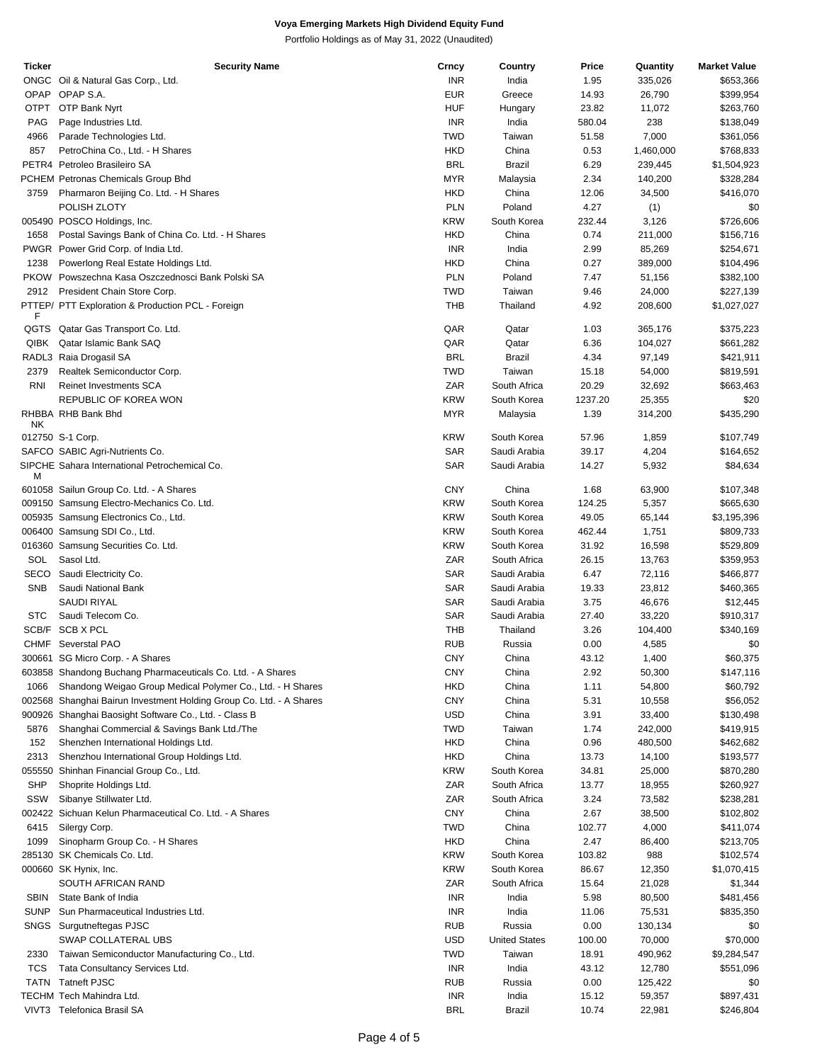| Ticker      | <b>Security Name</b>                                                | Crncy      | Country              | Price   | Quantity  | <b>Market Value</b> |
|-------------|---------------------------------------------------------------------|------------|----------------------|---------|-----------|---------------------|
|             | ONGC Oil & Natural Gas Corp., Ltd.                                  | <b>INR</b> | India                | 1.95    | 335,026   | \$653,366           |
|             | OPAP OPAP S.A.                                                      | <b>EUR</b> | Greece               | 14.93   | 26,790    | \$399,954           |
| <b>OTPT</b> | OTP Bank Nyrt                                                       | <b>HUF</b> | Hungary              | 23.82   | 11,072    | \$263,760           |
|             |                                                                     |            |                      |         |           |                     |
| PAG         | Page Industries Ltd.                                                | <b>INR</b> | India                | 580.04  | 238       | \$138,049           |
| 4966        | Parade Technologies Ltd.                                            | <b>TWD</b> | Taiwan               | 51.58   | 7,000     | \$361,056           |
| 857         | PetroChina Co., Ltd. - H Shares                                     | <b>HKD</b> | China                | 0.53    | 1,460,000 | \$768,833           |
|             | PETR4 Petroleo Brasileiro SA                                        | <b>BRL</b> | Brazil               | 6.29    | 239,445   | \$1,504,923         |
|             | PCHEM Petronas Chemicals Group Bhd                                  | <b>MYR</b> | Malaysia             | 2.34    | 140,200   | \$328,284           |
| 3759        | Pharmaron Beijing Co. Ltd. - H Shares                               | <b>HKD</b> | China                | 12.06   | 34,500    | \$416,070           |
|             | POLISH ZLOTY                                                        | <b>PLN</b> | Poland               | 4.27    |           | \$0                 |
|             |                                                                     |            |                      |         | (1)       |                     |
|             | 005490 POSCO Holdings, Inc.                                         | <b>KRW</b> | South Korea          | 232.44  | 3,126     | \$726,606           |
| 1658        | Postal Savings Bank of China Co. Ltd. - H Shares                    | <b>HKD</b> | China                | 0.74    | 211,000   | \$156,716           |
|             | PWGR Power Grid Corp. of India Ltd.                                 | <b>INR</b> | India                | 2.99    | 85,269    | \$254,671           |
| 1238        | Powerlong Real Estate Holdings Ltd.                                 | <b>HKD</b> | China                | 0.27    | 389,000   | \$104,496           |
|             | PKOW Powszechna Kasa Oszczednosci Bank Polski SA                    | <b>PLN</b> | Poland               | 7.47    | 51,156    | \$382,100           |
| 2912        | President Chain Store Corp.                                         | <b>TWD</b> | Taiwan               | 9.46    | 24,000    | \$227,139           |
|             |                                                                     |            |                      |         |           |                     |
| F           | PTTEP/ PTT Exploration & Production PCL - Foreign                   | <b>THB</b> | Thailand             | 4.92    | 208,600   | \$1,027,027         |
|             |                                                                     |            |                      |         |           |                     |
| QGTS        | Qatar Gas Transport Co. Ltd.                                        | QAR        | Qatar                | 1.03    | 365,176   | \$375,223           |
| QIBK        | Qatar Islamic Bank SAQ                                              | QAR        | Qatar                | 6.36    | 104,027   | \$661,282           |
|             | RADL3 Raia Drogasil SA                                              | <b>BRL</b> | Brazil               | 4.34    | 97,149    | \$421,911           |
| 2379        | Realtek Semiconductor Corp.                                         | <b>TWD</b> | Taiwan               | 15.18   | 54,000    | \$819,591           |
| <b>RNI</b>  | <b>Reinet Investments SCA</b>                                       | ZAR        | South Africa         | 20.29   | 32,692    | \$663,463           |
|             | REPUBLIC OF KOREA WON                                               | <b>KRW</b> | South Korea          | 1237.20 | 25,355    | \$20                |
|             |                                                                     |            |                      |         |           |                     |
| ΝK          | RHBBA RHB Bank Bhd                                                  | <b>MYR</b> | Malaysia             | 1.39    | 314,200   | \$435,290           |
|             |                                                                     | <b>KRW</b> |                      |         |           |                     |
|             | 012750 S-1 Corp.                                                    |            | South Korea          | 57.96   | 1,859     | \$107,749           |
|             | SAFCO SABIC Agri-Nutrients Co.                                      | SAR        | Saudi Arabia         | 39.17   | 4,204     | \$164,652           |
|             | SIPCHE Sahara International Petrochemical Co.                       | SAR        | Saudi Arabia         | 14.27   | 5,932     | \$84,634            |
| М           |                                                                     |            |                      |         |           |                     |
|             | 601058 Sailun Group Co. Ltd. - A Shares                             | <b>CNY</b> | China                | 1.68    | 63,900    | \$107,348           |
|             | 009150 Samsung Electro-Mechanics Co. Ltd.                           | <b>KRW</b> | South Korea          | 124.25  | 5,357     | \$665,630           |
|             | 005935 Samsung Electronics Co., Ltd.                                | <b>KRW</b> | South Korea          | 49.05   | 65,144    | \$3,195,396         |
|             | 006400 Samsung SDI Co., Ltd.                                        | <b>KRW</b> | South Korea          | 462.44  | 1,751     | \$809,733           |
|             | 016360 Samsung Securities Co. Ltd.                                  | <b>KRW</b> | South Korea          | 31.92   | 16,598    | \$529,809           |
|             |                                                                     |            |                      |         |           |                     |
| SOL         | Sasol Ltd.                                                          | ZAR        | South Africa         | 26.15   | 13,763    | \$359,953           |
|             | SECO Saudi Electricity Co.                                          | <b>SAR</b> | Saudi Arabia         | 6.47    | 72,116    | \$466,877           |
| <b>SNB</b>  | Saudi National Bank                                                 | SAR        | Saudi Arabia         | 19.33   | 23,812    | \$460,365           |
|             | SAUDI RIYAL                                                         | SAR        | Saudi Arabia         | 3.75    | 46,676    | \$12,445            |
| <b>STC</b>  | Saudi Telecom Co.                                                   | SAR        | Saudi Arabia         | 27.40   | 33,220    | \$910,317           |
|             | SCB/F SCB X PCL                                                     | THB        | Thailand             | 3.26    | 104,400   | \$340,169           |
|             |                                                                     |            |                      |         |           |                     |
| CHMF        | Severstal PAO                                                       | <b>RUB</b> | Russia               | 0.00    | 4,585     | \$0                 |
|             | 300661 SG Micro Corp. - A Shares                                    | <b>CNY</b> | China                | 43.12   | 1,400     | \$60,375            |
|             | 603858 Shandong Buchang Pharmaceuticals Co. Ltd. - A Shares         | <b>CNY</b> | China                | 2.92    | 50,300    | \$147,116           |
| 1066        | Shandong Weigao Group Medical Polymer Co., Ltd. - H Shares          | <b>HKD</b> | China                | 1.11    | 54,800    | \$60,792            |
|             | 002568 Shanghai Bairun Investment Holding Group Co. Ltd. - A Shares | <b>CNY</b> | China                | 5.31    | 10,558    | \$56,052            |
|             | 900926 Shanghai Baosight Software Co., Ltd. - Class B               | USD        | China                | 3.91    | 33,400    | \$130,498           |
|             |                                                                     |            |                      |         |           |                     |
| 5876        | Shanghai Commercial & Savings Bank Ltd./The                         | TWD        | Taiwan               | 1.74    | 242,000   | \$419,915           |
| 152         | Shenzhen International Holdings Ltd.                                | HKD        | China                | 0.96    | 480,500   | \$462,682           |
| 2313        | Shenzhou International Group Holdings Ltd.                          | HKD        | China                | 13.73   | 14,100    | \$193,577           |
|             | 055550 Shinhan Financial Group Co., Ltd.                            | <b>KRW</b> | South Korea          | 34.81   | 25,000    | \$870,280           |
| SHP         | Shoprite Holdings Ltd.                                              | ZAR        | South Africa         | 13.77   | 18,955    | \$260,927           |
| SSW         | Sibanye Stillwater Ltd.                                             | ZAR        | South Africa         | 3.24    | 73,582    | \$238,281           |
|             |                                                                     |            |                      |         |           |                     |
|             | 002422 Sichuan Kelun Pharmaceutical Co. Ltd. - A Shares             | <b>CNY</b> | China                | 2.67    | 38,500    | \$102,802           |
| 6415        | Silergy Corp.                                                       | TWD        | China                | 102.77  | 4,000     | \$411,074           |
| 1099        | Sinopharm Group Co. - H Shares                                      | HKD        | China                | 2.47    | 86,400    | \$213,705           |
|             | 285130 SK Chemicals Co. Ltd.                                        | <b>KRW</b> | South Korea          | 103.82  | 988       | \$102,574           |
|             | 000660 SK Hynix, Inc.                                               | <b>KRW</b> | South Korea          | 86.67   | 12,350    | \$1,070,415         |
|             | SOUTH AFRICAN RAND                                                  | ZAR        | South Africa         | 15.64   | 21,028    | \$1,344             |
|             |                                                                     |            |                      |         |           |                     |
| <b>SBIN</b> | State Bank of India                                                 | <b>INR</b> | India                | 5.98    | 80,500    | \$481,456           |
| <b>SUNP</b> | Sun Pharmaceutical Industries Ltd.                                  | <b>INR</b> | India                | 11.06   | 75,531    | \$835,350           |
|             | SNGS Surgutneftegas PJSC                                            | <b>RUB</b> | Russia               | 0.00    | 130,134   | \$0                 |
|             | SWAP COLLATERAL UBS                                                 | USD        | <b>United States</b> | 100.00  | 70,000    | \$70,000            |
| 2330        | Taiwan Semiconductor Manufacturing Co., Ltd.                        | TWD        | Taiwan               | 18.91   | 490,962   | \$9,284,547         |
| TCS         | Tata Consultancy Services Ltd.                                      | <b>INR</b> | India                | 43.12   | 12,780    | \$551,096           |
|             |                                                                     |            |                      |         |           |                     |
| <b>TATN</b> | <b>Tatneft PJSC</b>                                                 | <b>RUB</b> | Russia               | 0.00    | 125,422   | \$0                 |
|             | TECHM Tech Mahindra Ltd.                                            | <b>INR</b> | India                | 15.12   | 59,357    | \$897,431           |
|             | VIVT3 Telefonica Brasil SA                                          | <b>BRL</b> | Brazil               | 10.74   | 22,981    | \$246,804           |